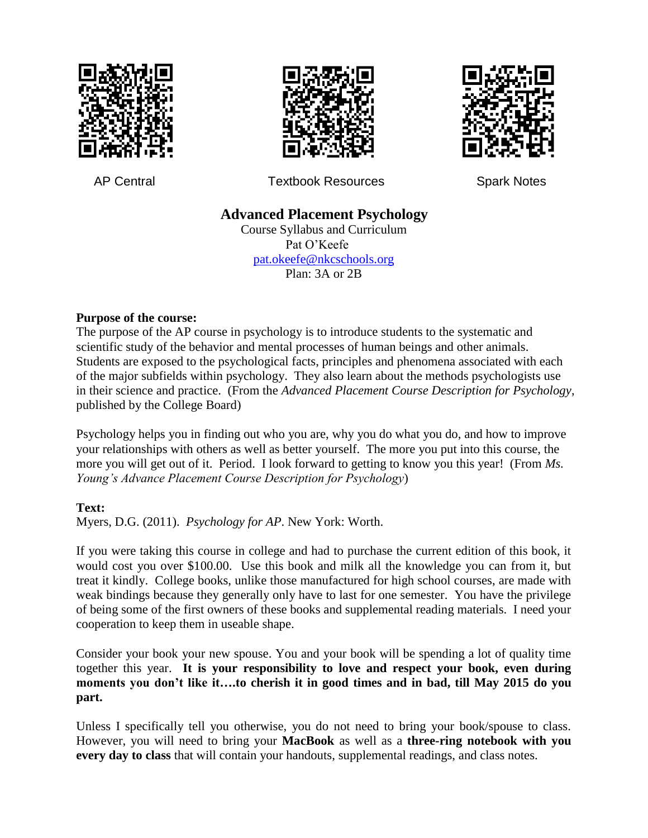





AP Central **Textbook Resources** Spark Notes

# **Advanced Placement Psychology**

Course Syllabus and Curriculum Pat O'Keefe [pat.okeefe@nkcschools.org](mailto:Pokeefe1@nkcschools.org) Plan: 3A or 2B

#### **Purpose of the course:**

The purpose of the AP course in psychology is to introduce students to the systematic and scientific study of the behavior and mental processes of human beings and other animals. Students are exposed to the psychological facts, principles and phenomena associated with each of the major subfields within psychology. They also learn about the methods psychologists use in their science and practice. (From the *Advanced Placement Course Description for Psychology*, published by the College Board)

Psychology helps you in finding out who you are, why you do what you do, and how to improve your relationships with others as well as better yourself. The more you put into this course, the more you will get out of it. Period. I look forward to getting to know you this year! (From *Ms. Young's Advance Placement Course Description for Psychology*)

## **Text:**

Myers, D.G. (2011). *Psychology for AP*. New York: Worth.

If you were taking this course in college and had to purchase the current edition of this book, it would cost you over \$100.00. Use this book and milk all the knowledge you can from it, but treat it kindly. College books, unlike those manufactured for high school courses, are made with weak bindings because they generally only have to last for one semester. You have the privilege of being some of the first owners of these books and supplemental reading materials. I need your cooperation to keep them in useable shape.

Consider your book your new spouse. You and your book will be spending a lot of quality time together this year. **It is your responsibility to love and respect your book, even during moments you don't like it….to cherish it in good times and in bad, till May 2015 do you part.** 

Unless I specifically tell you otherwise, you do not need to bring your book/spouse to class. However, you will need to bring your **MacBook** as well as a **three-ring notebook with you every day to class** that will contain your handouts, supplemental readings, and class notes.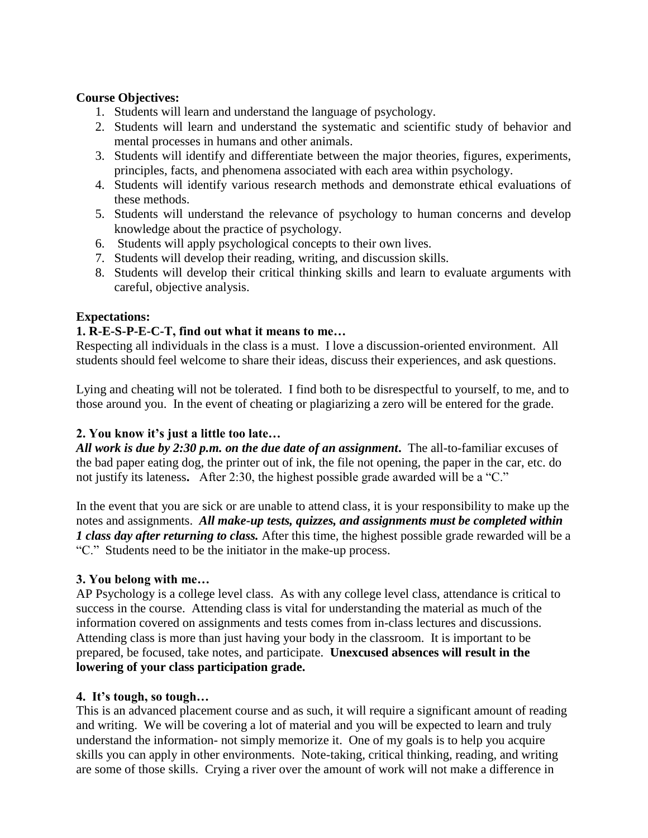#### **Course Objectives:**

- 1. Students will learn and understand the language of psychology.
- 2. Students will learn and understand the systematic and scientific study of behavior and mental processes in humans and other animals.
- 3. Students will identify and differentiate between the major theories, figures, experiments, principles, facts, and phenomena associated with each area within psychology.
- 4. Students will identify various research methods and demonstrate ethical evaluations of these methods.
- 5. Students will understand the relevance of psychology to human concerns and develop knowledge about the practice of psychology.
- 6. Students will apply psychological concepts to their own lives.
- 7. Students will develop their reading, writing, and discussion skills.
- 8. Students will develop their critical thinking skills and learn to evaluate arguments with careful, objective analysis.

#### **Expectations:**

#### **1. R-E-S-P-E-C-T, find out what it means to me…**

Respecting all individuals in the class is a must. I love a discussion-oriented environment. All students should feel welcome to share their ideas, discuss their experiences, and ask questions.

Lying and cheating will not be tolerated. I find both to be disrespectful to yourself, to me, and to those around you. In the event of cheating or plagiarizing a zero will be entered for the grade.

## **2. You know it's just a little too late…**

*All work is due by 2:30 p.m. on the due date of an assignment***.** The all-to-familiar excuses of the bad paper eating dog, the printer out of ink, the file not opening, the paper in the car, etc. do not justify its lateness**.** After 2:30, the highest possible grade awarded will be a "C."

In the event that you are sick or are unable to attend class, it is your responsibility to make up the notes and assignments. *All make-up tests, quizzes, and assignments must be completed within 1 class day after returning to class.* After this time, the highest possible grade rewarded will be a "C." Students need to be the initiator in the make-up process.

## **3. You belong with me…**

AP Psychology is a college level class. As with any college level class, attendance is critical to success in the course. Attending class is vital for understanding the material as much of the information covered on assignments and tests comes from in-class lectures and discussions. Attending class is more than just having your body in the classroom. It is important to be prepared, be focused, take notes, and participate. **Unexcused absences will result in the lowering of your class participation grade.** 

#### **4. It's tough, so tough…**

This is an advanced placement course and as such, it will require a significant amount of reading and writing. We will be covering a lot of material and you will be expected to learn and truly understand the information- not simply memorize it. One of my goals is to help you acquire skills you can apply in other environments. Note-taking, critical thinking, reading, and writing are some of those skills. Crying a river over the amount of work will not make a difference in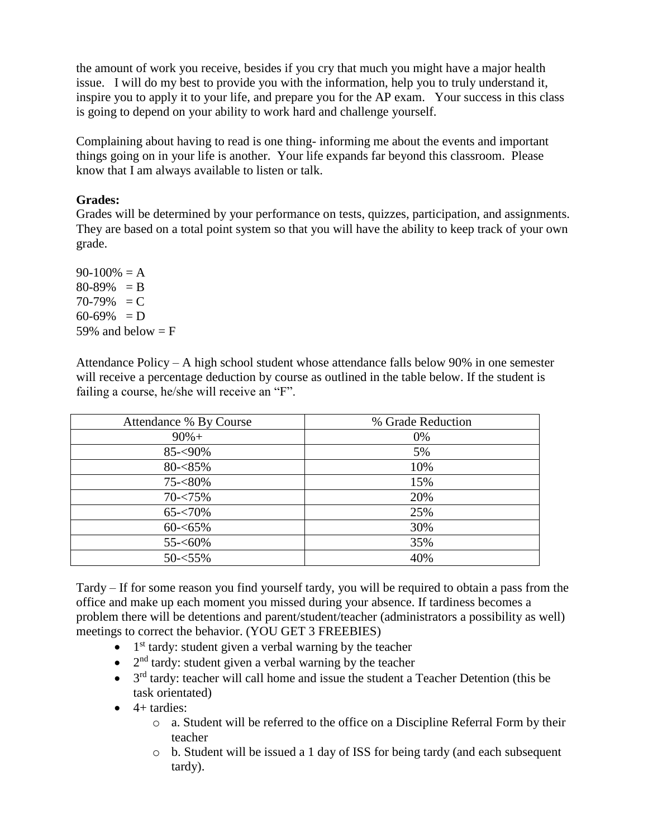the amount of work you receive, besides if you cry that much you might have a major health issue. I will do my best to provide you with the information, help you to truly understand it, inspire you to apply it to your life, and prepare you for the AP exam. Your success in this class is going to depend on your ability to work hard and challenge yourself.

Complaining about having to read is one thing- informing me about the events and important things going on in your life is another. Your life expands far beyond this classroom. Please know that I am always available to listen or talk.

#### **Grades:**

Grades will be determined by your performance on tests, quizzes, participation, and assignments. They are based on a total point system so that you will have the ability to keep track of your own grade.

 $90-100\% = A$  $80-89\% = B$  $70-79\% = C$  $60-69\% = D$ 59% and below  $=$  F

Attendance Policy – A high school student whose attendance falls below 90% in one semester will receive a percentage deduction by course as outlined in the table below. If the student is failing a course, he/she will receive an "F".

| Attendance % By Course | % Grade Reduction |
|------------------------|-------------------|
| $90%+$                 | 0%                |
| 85-<90%                | 5%                |
| $80 - 85\%$            | 10%               |
| 75-<80%                | 15%               |
| $70 - 75\%$            | 20%               |
| $65 - 70\%$            | 25%               |
| $60 - 65\%$            | 30%               |
| $55 - 60\%$            | 35%               |
| $50 - 55\%$            | 40%               |

Tardy – If for some reason you find yourself tardy, you will be required to obtain a pass from the office and make up each moment you missed during your absence. If tardiness becomes a problem there will be detentions and parent/student/teacher (administrators a possibility as well) meetings to correct the behavior. (YOU GET 3 FREEBIES)

- $\bullet$  1<sup>st</sup> tardy: student given a verbal warning by the teacher
- $\bullet$  2<sup>nd</sup> tardy: student given a verbal warning by the teacher
- $\bullet$  3<sup>rd</sup> tardy: teacher will call home and issue the student a Teacher Detention (this be task orientated)
- $\bullet$  4+ tardies:
	- $\circ$  a. Student will be referred to the office on a Discipline Referral Form by their teacher
	- $\circ$  b. Student will be issued a 1 day of ISS for being tardy (and each subsequent tardy).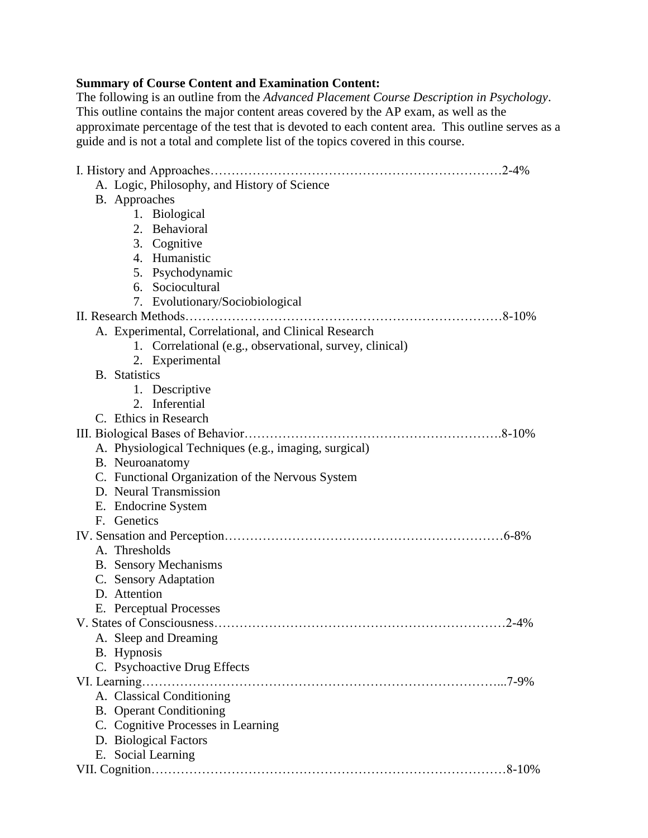## **Summary of Course Content and Examination Content:**

The following is an outline from the *Advanced Placement Course Description in Psychology*. This outline contains the major content areas covered by the AP exam, as well as the approximate percentage of the test that is devoted to each content area. This outline serves as a guide and is not a total and complete list of the topics covered in this course.

| A. Logic, Philosophy, and History of Science             |          |
|----------------------------------------------------------|----------|
| B. Approaches                                            |          |
| 1. Biological                                            |          |
| 2. Behavioral                                            |          |
| 3. Cognitive                                             |          |
| 4. Humanistic                                            |          |
| 5. Psychodynamic                                         |          |
| 6. Sociocultural                                         |          |
| 7. Evolutionary/Sociobiological                          |          |
|                                                          |          |
| A. Experimental, Correlational, and Clinical Research    |          |
| 1. Correlational (e.g., observational, survey, clinical) |          |
| 2. Experimental                                          |          |
| <b>B.</b> Statistics                                     |          |
| 1. Descriptive                                           |          |
| 2. Inferential                                           |          |
| C. Ethics in Research                                    |          |
|                                                          |          |
| A. Physiological Techniques (e.g., imaging, surgical)    |          |
| B. Neuroanatomy                                          |          |
| C. Functional Organization of the Nervous System         |          |
| D. Neural Transmission                                   |          |
| E. Endocrine System                                      |          |
| F. Genetics                                              |          |
|                                                          |          |
| A. Thresholds                                            |          |
| <b>B.</b> Sensory Mechanisms                             |          |
| C. Sensory Adaptation                                    |          |
| D. Attention                                             |          |
| E. Perceptual Processes                                  |          |
|                                                          |          |
| A. Sleep and Dreaming                                    |          |
| B. Hypnosis                                              |          |
| C. Psychoactive Drug Effects                             |          |
| VI. Learning                                             | $.7-9\%$ |
| A. Classical Conditioning                                |          |
| <b>B.</b> Operant Conditioning                           |          |
| C. Cognitive Processes in Learning                       |          |
| D. Biological Factors                                    |          |
| E. Social Learning                                       |          |
|                                                          |          |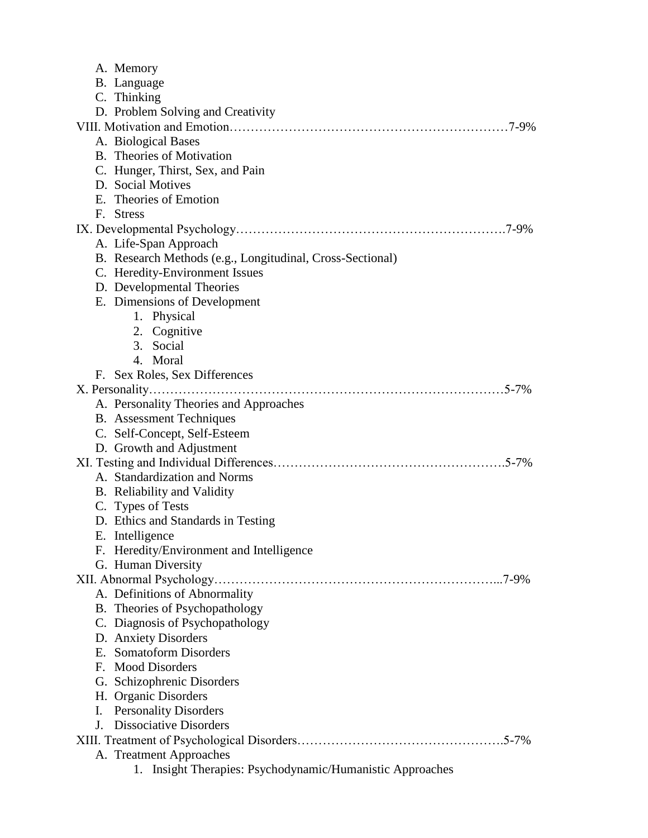| A. Memory                                                    |
|--------------------------------------------------------------|
| B. Language                                                  |
| C. Thinking                                                  |
| D. Problem Solving and Creativity                            |
|                                                              |
| A. Biological Bases                                          |
| B. Theories of Motivation                                    |
| C. Hunger, Thirst, Sex, and Pain                             |
| D. Social Motives                                            |
| E. Theories of Emotion                                       |
| F. Stress                                                    |
|                                                              |
| A. Life-Span Approach                                        |
| B. Research Methods (e.g., Longitudinal, Cross-Sectional)    |
| C. Heredity-Environment Issues                               |
| D. Developmental Theories                                    |
| E. Dimensions of Development                                 |
| 1. Physical                                                  |
| 2. Cognitive                                                 |
| 3. Social                                                    |
| 4. Moral                                                     |
| F. Sex Roles, Sex Differences                                |
|                                                              |
| A. Personality Theories and Approaches                       |
| <b>B.</b> Assessment Techniques                              |
| C. Self-Concept, Self-Esteem                                 |
| D. Growth and Adjustment                                     |
| $.5 - 7\%$                                                   |
| A. Standardization and Norms                                 |
| B. Reliability and Validity                                  |
| C. Types of Tests                                            |
| D. Ethics and Standards in Testing                           |
| E. Intelligence                                              |
| F. Heredity/Environment and Intelligence                     |
| G. Human Diversity                                           |
| $.7 - 9\%$                                                   |
| A. Definitions of Abnormality                                |
| B. Theories of Psychopathology                               |
| C. Diagnosis of Psychopathology                              |
| D. Anxiety Disorders                                         |
| E. Somatoform Disorders                                      |
| F. Mood Disorders                                            |
| G. Schizophrenic Disorders                                   |
| H. Organic Disorders                                         |
| <b>Personality Disorders</b><br>I.                           |
| <b>Dissociative Disorders</b><br>J.                          |
|                                                              |
| A. Treatment Approaches                                      |
| Insight Therapies: Psychodynamic/Humanistic Approaches<br>1. |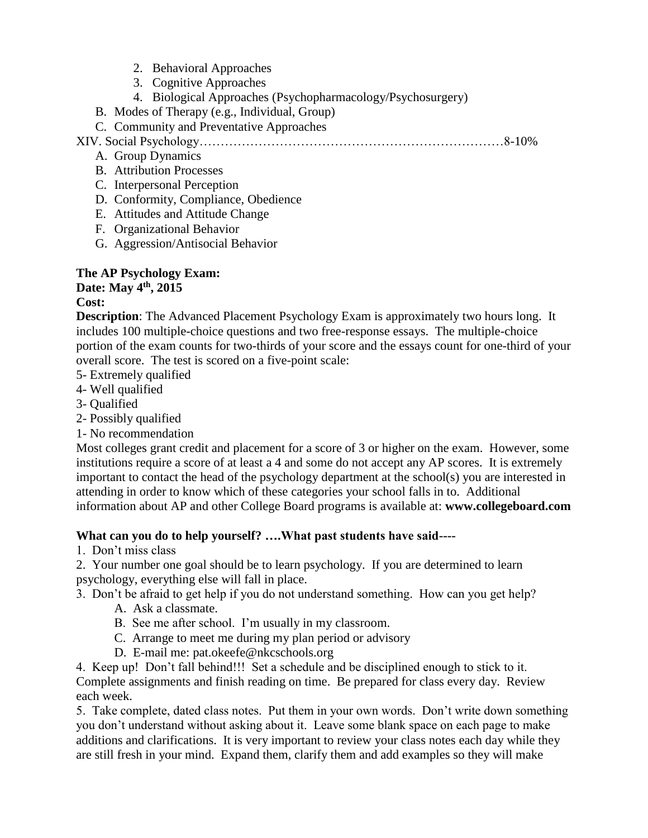- 2. Behavioral Approaches
- 3. Cognitive Approaches
- 4. Biological Approaches (Psychopharmacology/Psychosurgery)
- B. Modes of Therapy (e.g., Individual, Group)
- C. Community and Preventative Approaches

XIV. Social Psychology………………………………………………………………8-10%

- A. Group Dynamics
- B. Attribution Processes
- C. Interpersonal Perception
- D. Conformity, Compliance, Obedience
- E. Attitudes and Attitude Change
- F. Organizational Behavior
- G. Aggression/Antisocial Behavior

## **The AP Psychology Exam:**

## **Date: May 4th, 2015 Cost:**

**Description**: The Advanced Placement Psychology Exam is approximately two hours long. It includes 100 multiple-choice questions and two free-response essays. The multiple-choice portion of the exam counts for two-thirds of your score and the essays count for one-third of your overall score. The test is scored on a five-point scale:

- 5- Extremely qualified
- 4- Well qualified
- 3- Qualified
- 2- Possibly qualified
- 1- No recommendation

Most colleges grant credit and placement for a score of 3 or higher on the exam. However, some institutions require a score of at least a 4 and some do not accept any AP scores. It is extremely important to contact the head of the psychology department at the school(s) you are interested in attending in order to know which of these categories your school falls in to. Additional information about AP and other College Board programs is available at: **www.collegeboard.com**

## **What can you do to help yourself? ….What past students have said----**

1. Don't miss class

2. Your number one goal should be to learn psychology. If you are determined to learn psychology, everything else will fall in place.

3. Don't be afraid to get help if you do not understand something. How can you get help?

- A. Ask a classmate.
- B. See me after school. I'm usually in my classroom.
- C. Arrange to meet me during my plan period or advisory
- D. E-mail me: pat.okeefe@nkcschools.org

4. Keep up! Don't fall behind!!! Set a schedule and be disciplined enough to stick to it. Complete assignments and finish reading on time. Be prepared for class every day. Review each week.

5. Take complete, dated class notes. Put them in your own words. Don't write down something you don't understand without asking about it. Leave some blank space on each page to make additions and clarifications. It is very important to review your class notes each day while they are still fresh in your mind. Expand them, clarify them and add examples so they will make